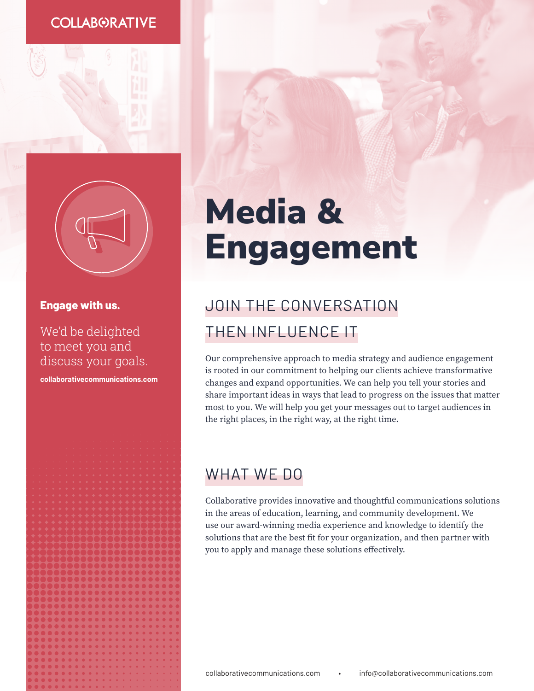### **COLLABORATIVE**



#### **Engage with us.**

We'd be delighted to meet you and discuss your goals.

**c[ollaborativecommunications.com](https://collaborativecommunications.com/)**

# Media & Engagement

# JOIN THE CONVERSATION THEN INFLUENCE IT

Our comprehensive approach to media strategy and audience engagement is rooted in our commitment to helping our clients achieve transformative changes and expand opportunities. We can help you tell your stories and share important ideas in ways that lead to progress on the issues that matter most to you. We will help you get your messages out to target audiences in the right places, in the right way, at the right time.

# WHAT WE DO

Collaborative provides innovative and thoughtful communications solutions in the areas of education, learning, and community development. We use our award-winning media experience and knowledge to identify the solutions that are the best fit for your organization, and then partner with you to apply and manage these solutions effectively.